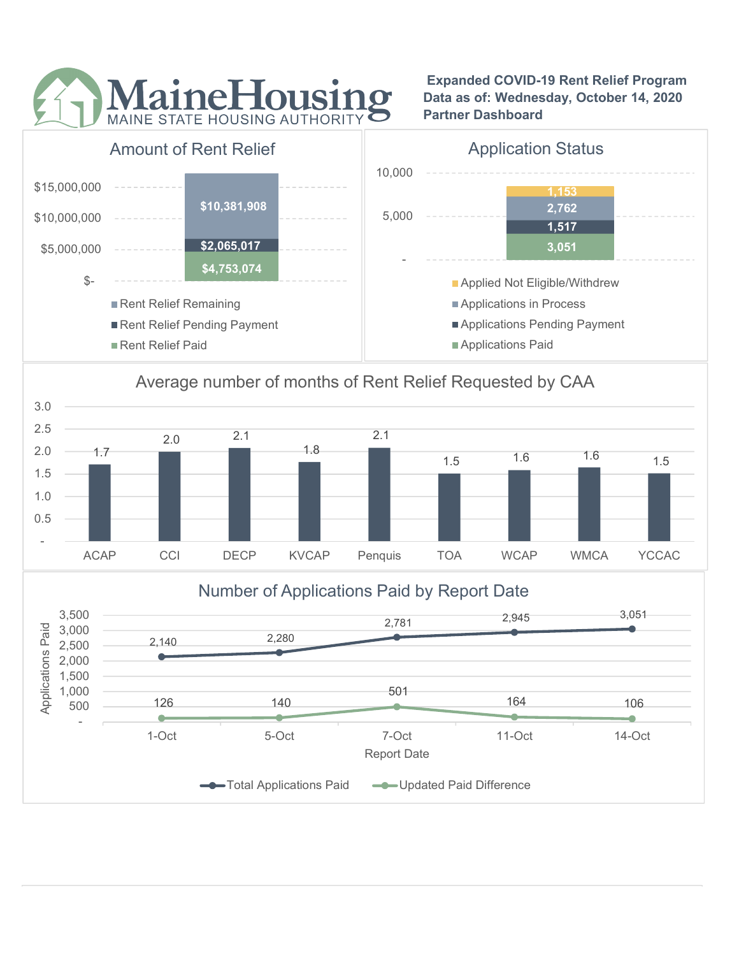

 Expanded COVID-19 Rent Relief Program Data as of: Wednesday, October 14, 2020 Partner Dashboard



## Average number of months of Rent Relief Requested by CAA



# 2,140 2,280  $2,781$   $2,945$   $3,051$ 126 140 501 164 106 - 500 126 140 1,000 126 140 1,500 2,000  $2,500$  2,140 2,280 3,000 3,500 1-Oct 5-Oct 7-Oct 11-Oct 14-Oct Applications Paid Report Date Number of Applications Paid by Report Date Total Applications Paid - Updated Paid Difference